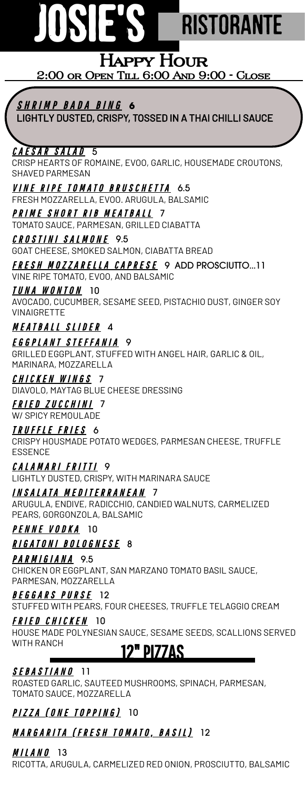# **JOSIE'S** RISTORANTE

### **Happy Hour 2:00 or Open Till 6:00 And 9:00 - Close**

S H R I M P B A D A B I N G **6**

LIGHTLY DUSTED, CRISPY, TOSSED IN A THAI CHILLI SAUCE

#### CAESAR SALAD 5

CRISP HEARTS OF ROMAINE, EVOO, GARLIC, HOUSEMADE CROUTONS, SHAVED PARMESAN

VINE RIPE TOMATO BRUSCHETTA 6.5 FRESH MOZZARELLA, EVOO. ARUGULA, BALSAMIC

PRIME SHORT RIB MEATBALL 7 TOMATO SAUCE, PARMESAN, GRILLED CIABATTA

CROSTINI SALMONE 9.5 GOAT CHEESE, SMOKED SALMON, CIABATTA BREAD

FRESH MOZZARELLA CAPRESE 9 ADD PROSCIUTTO...11 VINE RIPE TOMATO, EVOO, AND BALSAMIC

*IUNA WONTON* 10

AVOCADO, CUCUMBER, SESAME SEED, PISTACHIO DUST, GINGER SOY VINAIGRETTE

#### MEATBALL SLIDER 4

<u>E G G P L A N T S T E F F A N I A</u> 9 GRILLED EGGPLANT, STUFFED WITH ANGEL HAIR, GARLIC & OIL, MARINARA, MOZZARELLA

CHICKEN WINGS 7 DIAVOLO, MAYTAG BLUE CHEESE DRESSING FRIED ZUCCHINI 7

W/ SPICY REMOULADE

TRUFFLE FRIES 6

CRISPY HOUSMADE POTATO WEDGES, PARMESAN CHEESE, TRUFFLE ESSENCE

CALAMARI FRITTI 9 LIGHTLY DUSTED, CRISPY, WITH MARINARA SAUCE

IN SALATA MEDITERRANEAN 7

ARUGULA, ENDIVE, RADICCHIO, CANDIED WALNUTS, CARMELIZED PEARS, GORGONZOLA, BALSAMIC

PENNE VODKA 10

*RIGATONI BOLOGNESE* 8

PARMIGIANA 9.5

CHICKEN OR EGGPLANT, SAN MARZANO TOMATO BASIL SAUCE, PARMESAN, MOZZARELLA

#### B E G G A R S PURSE 12

STUFFED WITH PEARS, FOUR CHEESES, TRUFFLE TELAGGIO CREAM

#### FRIED CHICKEN 10

HOUSE MADE POLYNESIAN SAUCE, SESAME SEEDS, SCALLIONS SERVED WITH RANCH

## 12<u>" pizzas</u>

SEBASTIANO 11

ROASTED GARLIC, SAUTEED MUSHROOMS, SPINACH, PARMESAN, TOMATO SAUCE, MOZZARELLA

PIZZA (ONE TOPPING) 10

#### <u>MARGARITA (FRESH TOMATO, BASIL)</u> 12

*MILANO* 13

RICOTTA, ARUGULA, CARMELIZED RED ONION, PROSCIUTTO, BALSAMIC